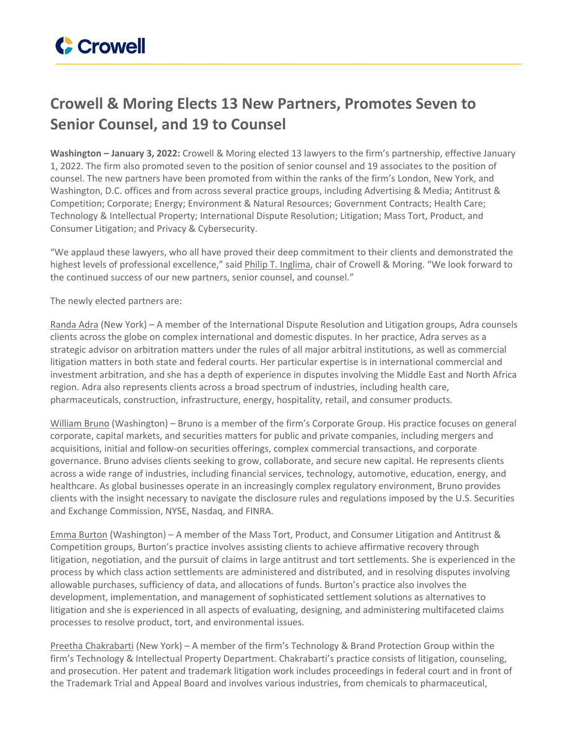## **Crowell & Moring Elects 13 New Partners, Promotes Seven to Senior Counsel, and 19 to Counsel**

**Washington – January 3, 2022:** Crowell & Moring elected 13 lawyers to the firm's partnership, effective January 1, 2022. The firm also promoted seven to the position of senior counsel and 19 associates to the position of counsel. The new partners have been promoted from within the ranks of the firm's London, New York, and Washington, D.C. offices and from across several practice groups, including Advertising & Media; Antitrust & Competition; Corporate; Energy; Environment & Natural Resources; Government Contracts; Health Care; Technology & Intellectual Property; International Dispute Resolution; Litigation; Mass Tort, Product, and Consumer Litigation; and Privacy & Cybersecurity.

"We applaud these lawyers, who all have proved their deep commitment to their clients and demonstrated the highest levels of professional excellence," said Philip T. [Inglima,](https://www.crowell.com/professionals/Philip-Inglima) chair of Crowell & Moring. "We look forward to the continued success of our new partners, senior counsel, and counsel."

The newly elected partners are:

[Randa](https://www.crowell.com/professionals/Randa-Adra) Adra (New York) – A member of the International Dispute Resolution and Litigation groups, Adra counsels clients across the globe on complex international and domestic disputes. In her practice, Adra serves as a strategic advisor on arbitration matters under the rules of all major arbitral institutions, as well as commercial litigation matters in both state and federal courts. Her particular expertise is in international commercial and investment arbitration, and she has a depth of experience in disputes involving the Middle East and North Africa region. Adra also represents clients across a broad spectrum of industries, including health care, pharmaceuticals, construction, infrastructure, energy, hospitality, retail, and consumer products.

[William](https://www.crowell.com/professionals/William-Bruno) Bruno (Washington) – Bruno is a member of the firm's Corporate Group. His practice focuses on general corporate, capital markets, and securities matters for public and private companies, including mergers and acquisitions, initial and follow-on securities offerings, complex commercial transactions, and corporate governance. Bruno advises clients seeking to grow, collaborate, and secure new capital. He represents clients across a wide range of industries, including financial services, technology, automotive, education, energy, and healthcare. As global businesses operate in an increasingly complex regulatory environment, Bruno provides clients with the insight necessary to navigate the disclosure rules and regulations imposed by the U.S. Securities and Exchange Commission, NYSE, Nasdaq, and FINRA.

Emma [Burton](https://www.crowell.com/professionals/Emma-Burton) (Washington) – A member of the Mass Tort, Product, and Consumer Litigation and Antitrust & Competition groups, Burton's practice involves assisting clients to achieve affirmative recovery through litigation, negotiation, and the pursuit of claims in large antitrust and tort settlements. She is experienced in the process by which class action settlements are administered and distributed, and in resolving disputes involving allowable purchases, sufficiency of data, and allocations of funds. Burton's practice also involves the development, implementation, and management of sophisticated settlement solutions as alternatives to litigation and she is experienced in all aspects of evaluating, designing, and administering multifaceted claims processes to resolve product, tort, and environmental issues.

Preetha [Chakrabarti](https://www.crowell.com/professionals/Preetha-Chakrabarti) (New York) – A member of the firm's Technology & Brand Protection Group within the firm's Technology & Intellectual Property Department. Chakrabarti's practice consists of litigation, counseling, and prosecution. Her patent and trademark litigation work includes proceedings in federal court and in front of the Trademark Trial and Appeal Board and involves various industries, from chemicals to pharmaceutical,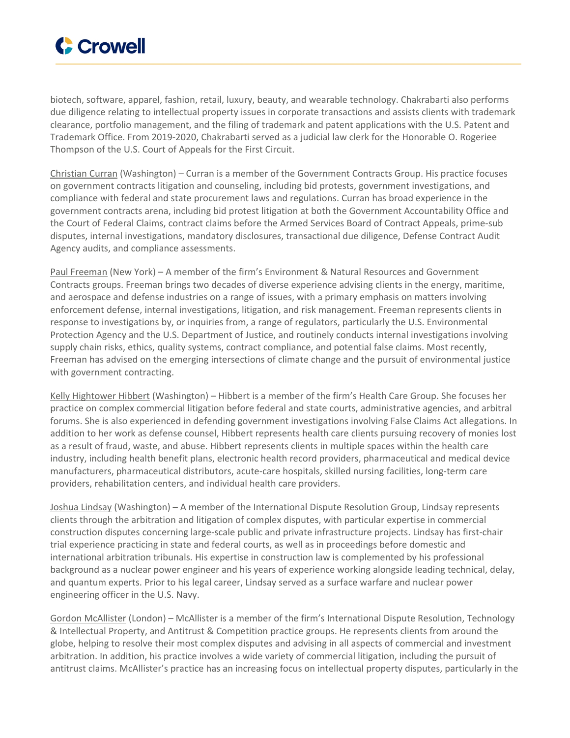

biotech, software, apparel, fashion, retail, luxury, beauty, and wearable technology. Chakrabarti also performs due diligence relating to intellectual property issues in corporate transactions and assists clients with trademark clearance, portfolio management, and the filing of trademark and patent applications with the U.S. Patent and Trademark Office. From 2019-2020, Chakrabarti served as a judicial law clerk for the Honorable O. Rogeriee Thompson of the U.S. Court of Appeals for the First Circuit.

[Christian](https://www.crowell.com/professionals/Christian-Curran) Curran (Washington) – Curran is a member of the Government Contracts Group. His practice focuses on government contracts litigation and counseling, including bid protests, government investigations, and compliance with federal and state procurement laws and regulations. Curran has broad experience in the government contracts arena, including bid protest litigation at both the Government Accountability Office and the Court of Federal Claims, contract claims before the Armed Services Board of Contract Appeals, prime-sub disputes, internal investigations, mandatory disclosures, transactional due diligence, Defense Contract Audit Agency audits, and compliance assessments.

Paul [Freeman](https://www.crowell.com/professionals/Paul-Freeman) (New York) – A member of the firm's Environment & Natural Resources and Government Contracts groups. Freeman brings two decades of diverse experience advising clients in the energy, maritime, and aerospace and defense industries on a range of issues, with a primary emphasis on matters involving enforcement defense, internal investigations, litigation, and risk management. Freeman represents clients in response to investigations by, or inquiries from, a range of regulators, particularly the U.S. Environmental Protection Agency and the U.S. Department of Justice, and routinely conducts internal investigations involving supply chain risks, ethics, quality systems, contract compliance, and potential false claims. Most recently, Freeman has advised on the emerging intersections of climate change and the pursuit of environmental justice with government contracting.

Kelly [Hightower](https://www.crowell.com/professionals/Kelly-Hibbert) Hibbert (Washington) – Hibbert is a member of the firm's Health Care Group. She focuses her practice on complex commercial litigation before federal and state courts, administrative agencies, and arbitral forums. She is also experienced in defending government investigations involving False Claims Act allegations. In addition to her work as defense counsel, Hibbert represents health care clients pursuing recovery of monies lost as a result of fraud, waste, and abuse. Hibbert represents clients in multiple spaces within the health care industry, including health benefit plans, electronic health record providers, pharmaceutical and medical device manufacturers, pharmaceutical distributors, acute-care hospitals, skilled nursing facilities, long-term care providers, rehabilitation centers, and individual health care providers.

Joshua [Lindsay](https://www.crowell.com/professionals/Joshua-Lindsay) (Washington) – A member of the International Dispute Resolution Group, Lindsay represents clients through the arbitration and litigation of complex disputes, with particular expertise in commercial construction disputes concerning large-scale public and private infrastructure projects. Lindsay has first-chair trial experience practicing in state and federal courts, as well as in proceedings before domestic and international arbitration tribunals. His expertise in construction law is complemented by his professional background as a nuclear power engineer and his years of experience working alongside leading technical, delay, and quantum experts. Prior to his legal career, Lindsay served as a surface warfare and nuclear power engineering officer in the U.S. Navy.

Gordon [McAllister](https://www.crowell.com/professionals/Gordon-McAllister) (London) – McAllister is a member of the firm's International Dispute Resolution, Technology & Intellectual Property, and Antitrust & Competition practice groups. He represents clients from around the globe, helping to resolve their most complex disputes and advising in all aspects of commercial and investment arbitration. In addition, his practice involves a wide variety of commercial litigation, including the pursuit of antitrust claims. McAllister's practice has an increasing focus on intellectual property disputes, particularly in the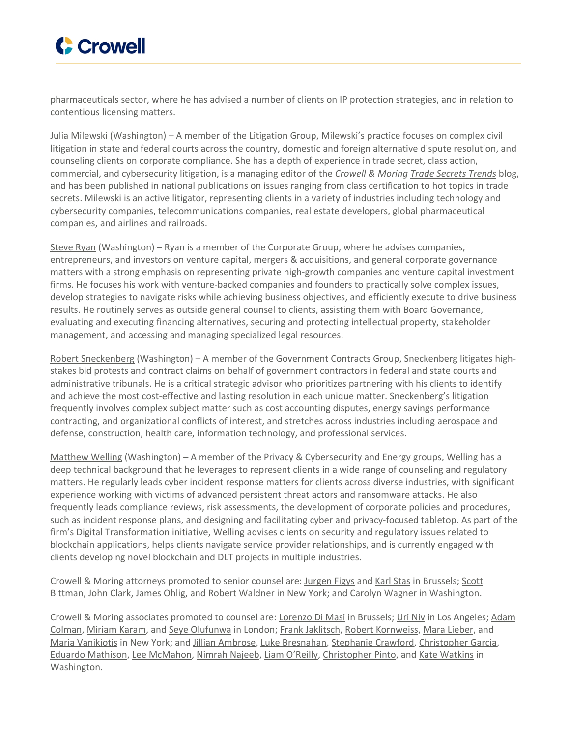

pharmaceuticals sector, where he has advised a number of clients on IP protection strategies, and in relation to contentious licensing matters.

Julia Milewski (Washington) – A member of the Litigation Group, Milewski's practice focuses on complex civil litigation in state and federal courts across the country, domestic and foreign alternative dispute resolution, and counseling clients on corporate compliance. She has a depth of experience in trade secret, class action, commercial, and cybersecurity litigation, is a managing editor of the *Crowell & Moring Trade [Secrets](https://www.crowelltradesecretstrends.com/) Trends* blog, and has been published in national publications on issues ranging from class certification to hot topics in trade secrets. Milewski is an active litigator, representing clients in a variety of industries including technology and cybersecurity companies, telecommunications companies, real estate developers, global pharmaceutical companies, and airlines and railroads.

[Steve](https://www.crowell.com/professionals/Steven-Ryan) Ryan (Washington) – Ryan is a member of the Corporate Group, where he advises companies, entrepreneurs, and investors on venture capital, mergers & acquisitions, and general corporate governance matters with a strong emphasis on representing private high-growth companies and venture capital investment firms. He focuses his work with venture-backed companies and founders to practically solve complex issues, develop strategies to navigate risks while achieving business objectives, and efficiently execute to drive business results. He routinely serves as outside general counsel to clients, assisting them with Board Governance, evaluating and executing financing alternatives, securing and protecting intellectual property, stakeholder management, and accessing and managing specialized legal resources.

Robert [Sneckenberg](https://www.crowell.com/professionals/Robert-Sneckenberg) (Washington) – A member of the Government Contracts Group, Sneckenberg litigates highstakes bid protests and contract claims on behalf of government contractors in federal and state courts and administrative tribunals. He is a critical strategic advisor who prioritizes partnering with his clients to identify and achieve the most cost-effective and lasting resolution in each unique matter. Sneckenberg's litigation frequently involves complex subject matter such as cost accounting disputes, energy savings performance contracting, and organizational conflicts of interest, and stretches across industries including aerospace and defense, construction, health care, information technology, and professional services.

[Matthew](https://www.crowell.com/professionals/Matthew-Welling) Welling (Washington) – A member of the Privacy & Cybersecurity and Energy groups, Welling has a deep technical background that he leverages to represent clients in a wide range of counseling and regulatory matters. He regularly leads cyber incident response matters for clients across diverse industries, with significant experience working with victims of advanced persistent threat actors and ransomware attacks. He also frequently leads compliance reviews, risk assessments, the development of corporate policies and procedures, such as incident response plans, and designing and facilitating cyber and privacy-focused tabletop. As part of the firm's Digital Transformation initiative, Welling advises clients on security and regulatory issues related to blockchain applications, helps clients navigate service provider relationships, and is currently engaged with clients developing novel blockchain and DLT projects in multiple industries.

Crowell & Moring attorneys promoted to senior counsel are: [Jurgen](https://www.crowell.com/professionals/Jurgen-Figys) Figys and Karl [Stas](https://www.crowell.com/professionals/Karl-Stas) in Brussels; [Scott](https://www.crowell.com/professionals/Scott-Bittman) [Bittman,](https://www.crowell.com/professionals/Scott-Bittman) John [Clark,](https://www.crowell.com/professionals/John-Clark) [James](https://www.crowell.com/professionals/James-Ohlig) Ohlig, and Robert [Waldner](https://www.crowell.com/professionals/Robert-Waldner) in New York; and Carolyn Wagner in Washington.

Crowell & Moring associates promoted to counsel are: [Lorenzo](https://www.crowell.com/professionals/Lorenzo-Di-Masi) Di Masi in Brussels; Uri [Niv](https://www.crowell.com/professionals/Uri-Niv) in Los Angeles; [Adam](https://www.crowell.com/Professionals/Adam-Colman) [Colman](https://www.crowell.com/Professionals/Adam-Colman), [Miriam](https://www.crowell.com/professionals/Miriam-Karam) Karam, and Seye [Olufunwa](https://www.crowell.com/professionals/Seye-Olufunwa) in London; Frank [Jaklitsch,](https://www.crowell.com/professionals/Frank-Jaklitsch) Robert [Kornweiss](https://www.crowell.com/Professionals/Robert-Kornweiss), Mara [Lieber,](https://www.crowell.com/Professionals/Mara-Rose-Lieber) and Maria [Vanikiotis](https://www.crowell.com/Professionals/Maria-Vanikiotis) in New York; and Jillian [Ambrose,](https://www.crowell.com/Professionals/Jillian-Ambrose) Luke [Bresnahan,](https://www.crowell.com/Professionals/Luke-Bresnahan) [Stephanie](https://www.crowell.com/Professionals/Stephanie-Crawford) Crawford, [Christopher](https://www.crowell.com/Professionals/Christopher-Garcia) Garcia, Eduardo [Mathison,](https://www.crowell.com/Professionals/Eduardo-Mathison) Lee [McMahon,](https://www.crowell.com/Professionals/Ashley-Lee-McMahon) [Nimrah](https://www.crowell.com/Professionals/Nimrah-Najeeb) Najeeb, Liam [O'Reilly,](https://www.crowell.com/Professionals/William-OReilly) [Christopher](https://www.crowell.com/Professionals/Christopher-Pinto) Pinto, and Kate [Watkins](https://www.crowell.com/Professionals/Kate-Watkins) in Washington.